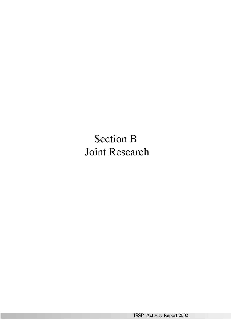Section B Joint Research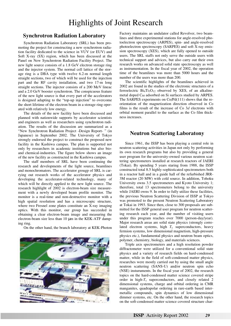# **Synchrotron Radiation Laboratory**

Synchrotron Radiation Laboratory (SRL) has been promoting the project for constructing a new synchrotron radiation facility dedicated to the science in VUV (or EUV) and Soft X-ray (SX) region, which has been discussed at the Panel on New Synchrotron Radiation Facility Project. The new light source consists of a 1.8 GeV electron storage ring and the injector system. The normal cell lattice of the storage ring is a DBA type with twelve 6.2-m normal length straight sections, two of which will be used for the injection part and the RF cavity installation, and two 17-m long straight sections. The injector consists of a 200 MeV lineac and a 2.0 GeV booster synchrotron. The conspicuous feature of the new light source is that every part of the accelerators is designed adapting to the "top-up injection" to overcome the short lifetime of the electron beam in a storage ring operated with relatively low energy.

The details of the new facility have been discussed and planned with nationwide supports by accelerator scientists and engineers as well as researchers using synchrotron radiation. The results of the discussion are summarized as a "New Synchrotron Radiation Project -Design Report- " (in Japanese) in September 2002. The University of Tokyo strongly endorsed the project to construct the proposed new facility in the Kashiwa campus. The plan is supported not only by researchers in academic institutions but also bioand chemical-industries. The figure below shows an image of the new facility as constructed in the Kashiwa campus.

The staff members of SRL have been continuing the research and developments of the light source, beamlines and monochromators. The accelerator grougp of SRL is carrying out research works of the accelerator physics and developing the accelerator-related technology, many of which will be directly applied to the new light source. The research highlight of 2002 is electron-beam size measurement with a newly developed beam profile monitor. The monitor is a real-time and non-destructive monitor with a high spatial resolution and has a microscopic structure, where two Fresnel zone plates constitute an X-ray imaging optics. With this monitor, our group has succeeded in obtaining a clear electron-beam image and measuring the electron-beam size less than 10  $\mu$ m in the KEK-ATF damping ring.

On the other hand, the branch laboratory at KEK-Photon



Factory maintains an undulator called Revolver, two beamlines and three experimental stations for angle-resolved photoelectron spectroscopy (ARPES), spin- and angle-resolved photoelectron spectroscopy (SARPES) and soft X-ray emission spectroscopy (XES), which are fully opened to outside users. The SRL staffs not only serve the outside users with technical support and advices, but also carry out their own research works on advanced solid state spectroscopy as well as instrumentation. In the fiscal year of 2002, the operation time of the beamlines was more than 5000 hours and the number of the users was more than 200.

The scientific highlights of the beamlines achieved in 2002 are found in the studies of the electronic structures of a ferroelectric  $Bi<sub>4</sub>Ti<sub>3</sub>O<sub>12</sub>$  observed by XES, of an alkalinemetal doped C<sub>60</sub> adsorbed on Si surfaces studied by ARPES. The SARPES experiments on Co/Pd(111) shows that the reorientation of the magnetization direction observed in Co films is the result of the increase of Co 3*d* electrons with orbital moment parallel to the surface as the Co film thickness increases.

# **Neutron Scattering Laboratony**

Since 1961, the ISSP has been playing a central role in neutron scattering activities in Japan not only by performing its own research programs but also by providing a general user program for the university-owned various neutron scattering spectrometers installed at research reactors of JAERI (Tokai). By spending 5 years staring from 1988, the ISSP constructed total 8.5 highly-sophisticated spectrometers both in a reactor hall and in a guide hall of the refurbished JRR-3M reactor (20 MW) with cold source. In addition, Tohoku University owns 3.5 spectrometers and Kyoto University 1; therefore, total 13 spectrometers belong to the university while JAERI owns 9. In order to fully utilize these facilities, the previous Neutron Scattering Division of ISSP at Tokyo was promoted to the present Neutron Scattering Laboratory at Tokai in 1993. Since then, close to 300 proposals are submitted for the ISSP general user program for neutron scattering research each year, and the number of visiting users under this program reaches over 7000 (person-day/year). Major research areas are solid state physics (strongly correlated electron systems, high  $T_c$  superconductors, heavy fermion systems, low dimensional magnetism, high-pressure physics etc.), fundamental physics and neutron beam optics, polymer, chemistry, biology, and materials sciences.

Triple axis spectrometers and a high resolution powder diffractometer were utilized for a conventional solid state physics and a variety of research fields on hard-condensed matter, while in the field of soft-condensed matter physics, researches were mostly carried out by using the small angle neutron scattering (SANS-U) and/or neutron spin echo (NSE) insturuments. In the fiscal year of 2002, the research topics on the hard-condensed matter science covered stripe order in high-*T*<sup>c</sup> superconductors, and closely related 2 dimensional systems, charge and orbital ordering in CMR manganites, quadrapolar ordering in rare-earth based intermetallic compounds, spin dynamics of low dimensional dimmer systems, etc. On the other hand, the research topics on the soft-condensed matter science covered structure char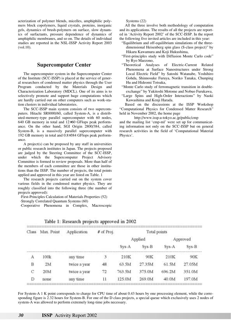acterization of polymer blends, micelles, amphiphilic polymers block copolymers, liquid crystals, proteins, inorganic gels, dynamics of brush-polymers on surface, slow dynamics of surfactants, pressure dependence of dynamics of amphiphilic membranes, and so on. The details of individual studies are reported in the NSL-ISSP Activity Report 2003 (vol.10).

# **Supercomputer Center**

The supercomputer system in the Supercomputer Center of the Institute (SCC-ISSP) is placed at the service of general researchers of condensed matter physics through the User Program conducted by the Materials Design and Characterization Laboratory (MDCL). One of its aims is to selectively promote and support huge computations which are hardly carried out on other computers such as work-station clusters in individual laboratories.

The SCC-ISSP main system consists of two supercomputers. Hitachi SR8000/60, called System-A, is a distributed-memory-type parallel supercomputer with 60 nodes, 640 GB memory in total and 12×60 GFlops peak performance. On the other hand, SGI Origin 2800/384, called System-B, is a massively parallel supercomputer with 192 GB memory in total and 0.8×384 GFlops peak performance.

A project(s) can be proposed by any staff in universities or public research institutes in Japan. The projects proposed are judged by the Steering Committee of the SCC-ISSP, under which the Supercomputer Project Advisory Committee is formed to review proposals. More than half of the members of each committee are those in other institutions than the ISSP. The number of projects, the total points applied and approved in this year are listed on Table. 1

The research projects carried out on the system cover various fields in the condensed matter physics. They are roughly classified into the following three (the number of projects approved):

·First-Principles Calculation of Materials Properties (52)

·Strongly Correlated Quantum Systems (60)

·Cooperative Phenomena in Complex, Macroscopic

Class Max. Point Total points Application # of Proj. Applied Approved Sys-A  $Sys-B$ Sys-A  $Sys-B$ А 100k any time 3 210K 90K 210K 90K Β  $2M$ 48 63.5M 27.35M 61.5M 27.05M twice a year C 20M 351.0M twice a year 72 763.5M 375.0M 696.2M 11 D none any time 125.0M 269.0M 40.0M 197.0M

## Table 1: Research projects approved in 2002

Systems (22)

All the three involve both methodology of computation and its applications. The results of all the projects are reported in 'Activity Report 2002' of the SCC-ISSP. In the report the following five invited articles are included in this year:

- "Equilibrium and off-equilibrium simulations of the threedimensional Heisenberg spin glass (S-class project)" by Hikaru Kawamura and Koji Hukushima,
- "First-principles study with Diffusion Monte Carlo code" by Ryo Maezono,
- "Theoretical Analyses of Electric-Current Related Phenomena at Surface Nanostructures under Strong Local Electric Field" by Satoshi Watanabe, Yoshihiro Gohda, Shinnosuke Furuya, Noriko Tanaka, Chunping Hu and Hideomi Totsuka,
- "Monte Carlo study of ferromagnetic transition in doubleexchange" by Yukitoshi Motome and Nobuo Furukawa,
- "Large Spins and High-Order Interactions" by Naoki Kawashima and Kenji Harada.

Based on the discussions at the ISSP Workshop "Computational Physics for Condensed Matter Research" held in November 2002, the home page

http://www.issp.u-tokyo.ac.jp/public/cmp

and the mailing list 'cmp-ml' were set up for communicating information not only on the SCC-ISSP but on general research activities in the field of 'Computational Material Physics'.

For System-A 1 K point corresponds to charge for CPU time of about 0.43 hours by one processing element, while the corresponding figure is 2.32 hours for System-B. For one of the D class projects, a special queue which exclusively uses 2 nodes of system-A was allowed to perform extremely long-time jobs necessary.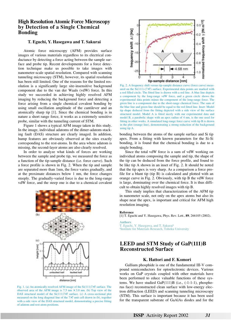# **High Resolution Atomic Force Microscopy by Detection of a Single Chemical Bonding**

### **T. Eguchi, Y. Hasegawa and T. Sakurai**

Atomic force microscopy (AFM) provides surface images of various materials regardless to its electrical conductance by detecting a force acting between the sample surface and probe tip. Recent developments for a force detection technique make us possible to take images with nanometer-scale spatial resolution. Compared with scanning tunneling microscopy (STM), however, its spatial resolution has been still limited. One of the reasons for the limited resolution is a significantly large site-insensitive background component due to the van der Waals (vdW) force. In this study we succeeded in achieving highly resolved AFM imaging by reducing the background force and detecting a force arising from a single chemical covalent bonding by using small oscillation amplitude of the cantilever and an atomically sharp tip [1]. Since the chemical bonding is in nature a short range force, it works as a extremely sensitive probe, similar with the tunneling current of STM.

Figure 1 shows a typical AFM image taken in this study. In the image, individual adatoms of the dimer-adatom-stacking fault (DAS) structure are clearly imaged. In addition, hump features are obviously observed at the sites exactly corresponding to the rest-atoms. In the area where adatom is missing, the second-layer atoms are also clearly resolved.

In order to analyze what kinds of forces are working between the sample and probe tip, we measured the force as a function of the tip-sample distance (i.e. force curve). Such a force profile is shown in Fig. 2. When the tip and sample are separated more than 1nm, the force varies gradually, and at the proximate distances below 1 nm, the force changes steeply. The gradually-varied force is due to the long-range vdW force, and the steep one is due to a chemical covalent







Fig. 2. A frequency shift versus tip-sample distance curve (force curve) measured on the Si(111)-(7×7) surface. Experimental data points are marked with a red filled circle. The fitted line is drawn with a red line. A blue line depicts a component by the long-range vdW force, and a green circle shows the experimental data points minus the component of the long-range force. The green line is a component due to the short-range chemical force. The sum of the blue line and green line should be equal to the red fitted line. Inset: Model tip shape deduced from the fitting depicted with a side view of the surface structural model. Model A is fitted nicely with our experimental data and model B, a parabolic shape with an apex radius of 4 nm, is the one used for fitting in other works. A simulated long-range force curve with tip B is drawn in the plot (orange line), demonstrating a strong reduction of the background using tip A.

bonding between the atoms of the sample surface and Si tip apex. From a fitting with known parameters for the Si-Si bonding, it is found that the chemical bonding is due to a single bonding.

Since the total vdW force is a sum of vdW working on individual atoms composing the sample and tip, the shape of the tip can be deduced from the force profile, and found to be like tip A shown in an inset of Fig. 2. It should be noted that the tip apex is very sharp. As a comparison a force profile for a blunt tip (tip B) is calculated and plotted with an orange curve in Fig. 2. Obviously, with tip B the vdW force is large, dominating over the chemical force. It is thus difficult to obtain highly resolved images with tip B.

This study implies that characterization of the AFM tip in nanometer scale, not only on the apex atoms but also its shape near the apex, is important and critical for AFM high resolution imaging.

#### **Reference**

[1] T. Eguchi and Y. Hasegawa, Phys. Rev. Lett., **89**, 266105 (2002).

**Authors** T. Eguchi, Y. Hasegawa, and T. Sakurai<sup>a</sup> a Institute for Materials Research, Tohoku University

# **LEED and STM Study of GaP(111)B**

# **Reconstructed Surface**

# **K. Hattori and F. Komori**

Gallium phosphide is one of the fundamental III-V compound semiconductors for optoelectronic devices. Various works on GaP crystals coupled with other materials have been performed to educe valuable functions of these systems. We have studied GaP(111)B (i.e., (-1-1-1), phosphorus face) reconstructed clean surface with low-energy electron diffraction (LEED) and scanning tunneling microscopy (STM). This surface is important because it has been used for the transparent substrate of GaAlAs diodes and for the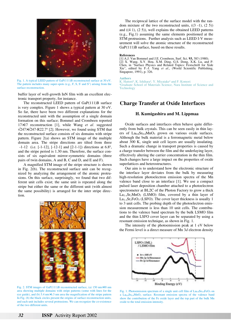

Fig. 1. A typical LEED pattern of GaP(111)B reconstructed surface at 30 eV. The pattern includes many super-spots (e.g., F, S, S' and S") arising from the surface reconstruction.

buffer layer of well-growth InN film with an excellent electronic transport property, for instance.

The reconstructed LEED pattern of GaP(111)B surface is very complex. Figure 1 shows a typical pattern at 30 eV. So far, there have been two different explanations for the reconstructed unit with the assumption of a single domain formation on this surface; Bommel and Crombeen reported 17×17 reconstruction [1], while Wang *et al.* suggested √247×√247-R22.7º [2]. However, we found using STM that the reconstructed surface consists of six domains with stripe pattern. Figure 2(a) shows an STM image of the multiple domain area. The stripe directions are tilted from three 〈-1-12〉 (i.e. [-1-12], [-12-1] and [2-1-1]) directions at 6.8º, and the stripe period is 1.30 nm. Therefore, the surface consists of six equivalent mirror-symmetric domains (three pairs of twin domains, A and B, C and D, and E and F).

A magnified STM image of the stripe structure is shown in Fig. 2(b). The reconstructed surface unit can be recognized by analyzing the arrangement of the atomic protrusions. On this surface, surprisingly, we found that two different unit cells exist; the same unit is repeated along the stripe but either the same or the different unit (with almost the same possibility) is arranged for the inter stripe direction.



Fig. 2. STM images of GaP(111)B reconstructed surface, (a) 150 nm×90 nm area showing multiple domains with stripe patterns (some with lines for the eye guide), and (b) 5.4 nm×6.3 nm area the magnification of the stripe pattern In Fig. (b) the black circles present the origins of surface reconstruction units, and each unit includes several protrusions. We can recognize the co-existence of the two different units.

The reciprocal lattice of the surface model with the random mixture of the two reconstructed units,  $((3 -1), (2 5))$ and ((4 1), (2 5)), well explains the obtained LEED patterns (e.g., Fig.1) assuming the same elements positioned at the STM protrusions. Further analysis such as LEED I-V measurement will solve the atomic structure of the reconstructed GaP(111)B surface, based on these results.

#### **References**

[1] A.J. Van Bommel and J.E. Crombeen, Surf. Sci. **93,** 383 (1980). [2] X. Wang, X.Y. Hou, X.M. Ding, G.S. Dong, X.K. Lu, and P. Chen, in "Surface Physics and Related Topics: Festschrift for Xide Xie", edited by F.-J. Yang *et al*., (World Scientific Publishing, Singapore, 1991), p. 326.

### **Authors**

K. Hattori<sup>a</sup>, K. Ishihara<sup>a</sup>, Y. Miyatake<sup>a</sup> and F. Komori<br><sup>a</sup>Graduate School of Materials Science, Nara Institut

<sup>a</sup>Graduate School of Materials Science, Nara Institute of Science and **Technology** 

# **Charge Transfer at Oxide Interfaces**

### **H. Kumigashira and M. Lippmaa**

Oxide surfaces and interfaces often behave quite differently from bulk crystals. This can be seen easily in thin layers of La0.6Sr0.4MnO3 grown on various oxide surfaces. Although the bulk material is a ferromagnetic metal below about 300 K, single unit cell layers are usually insulating. Such a dramatic change in transport properties is caused by a charge transfer between the film and the underlaying layer, effectively altering the carrier concentration in the thin film. Such changes have a large impact on the properties of oxide superlattices and heterostructures.

Our aim is to understand how the electronic structure of the interface layer deviates from the bulk by measuring high-resolution photoelectron emission spectra of the Mn valence band close to an interface [1]. We use a compact pulsed laser deposition chamber attached to a photoelectron spectrometer at BL2C of the Photon Factory to grow a thick  $La<sub>1-x</sub>Sr<sub>x</sub>MnO<sub>3</sub>$  (LSMO) film, covered by a thin layer of  $La<sub>1-x</sub>Sr<sub>x</sub>FeO<sub>3</sub>$  (LSFO). The cover layer thickness is usually 1 to 3 unit cells. The probing depth of the photoelectron emission measurement is less than 10 unit cells. The contributions to the valence band spectrum by the bulk LSMO film and the thin LSFO cover layer can be separated by using a resonant emission technique, as shown in Fig. 1.

The intensity of the photoemission peak at 1 eV below the Fermi level is a direct measure of Mn 3*d* electron density



Fig. 1. Photoemission spectrum of a single unit cell film of  $La<sub>0.6</sub>Sr<sub>0.4</sub>FeO<sub>3</sub>$  on a La0.6Sr0.4MnO3 surface. Resonant emission spectra of the valence band show the contribution of the Fe oxide layer and the top part of the bulk Mn oxide to the total emission intensity.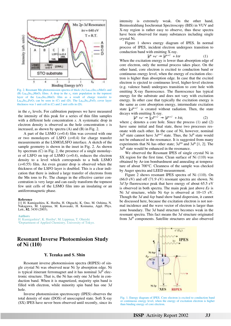

Fig. 2. Resonant Mn photoemission spectra of thick (A) La<sub>0.45</sub>Sr<sub>0.55</sub>MnO<sub>3</sub> and (B) La<sub>0.6</sub>Sr<sub>0.4</sub>MnO<sub>3</sub> films. A drop in the  $e<sub>g</sub>$  state population in the topmost layer of the La<sub>0.6</sub>Sr<sub>0.4</sub>MnO<sub>3</sub> film as a result of charge transfer to La<sub>0.6</sub>Sr<sub>0.4</sub>FeO<sub>3</sub> can be seen in (C) and (D). The La<sub>0.6</sub>Sr<sub>0.4</sub>FeO<sub>3</sub> cover layer thickness was 1 unit cell in (C) and 2 unit cells in (D).

in the  $e_g$  levels. For calibration purposes we have measured the intensity of this peak for a series of thin film samples with a different hole concentration *x*. A systematic drop in electron density is observed as the hole concentration *x* is increased, as shown by spectra (A) and (B) in Fig. 2.

A part of the LSMO  $(x=0.4)$  film was covered with one or two monolayers of LSFO (*x*=0.4) for charge transfer measurements at the LSMO/LSFO interface. A sketch of the sample geometry is shown in the inset in Fig. 2. As shown by spectrum (C) in Fig. 2, the presence of a single monolayer of LSFO on top of LSMO (*x*=0.4), reduces the electron density to a level which corresponds to a bulk LSMO (*x*=0.55) film. An even greater drop is observed when the thickness of the LSFO layer is doubled. This is a clear indication that there is indeed a large transfer of electrons from the Mn ions to Fe. The change in the effective carrier concentration is very large and can easily transform the topmost few unit cells of the LSMO film into an insulating or an antiferromagnetic phase.

#### **Reference**

[1] H. Kumigashira, K. Horiba, H. Ohguchi, K. Ono, M. Oshima, N. Nakagawa, M. Lippmaa, M. Kawasaki, H. Koinuma, Appl. Phys. Lett., **82**, 3430 (2003).

#### **Authors**

H. Kumigashira<sup>a</sup>, K. Horiba<sup>a</sup>, M. Lippmaa, T. Ohnishi<br><sup>a</sup>Deptartment of Applied Chemistry, University of Tok Deptartment of Applied Chemistry, University of Tokyo.

# **Resonant Inverse Photoemission Study of Ni (110)**

# **Y. Tezuka and S. Shin**

Resonant inverse photoemission spectra (RIPES) of single crystal Ni was observed near Ni 3*p* absorption edge. Ni is typical itinerant ferromagnet and it has nominal  $3d^9$  electronic structure. That is, the Ni has only one 3*d* hole in conduction band. When it is magnetized, majority spin band is filled with electron, while minority spin band has one 3*d* hole.

Inverse photoemission spectroscopy (IPES) observes the total density of state (DOS) of unoccupied state. Soft X-ray (SX) IPES have never been observed until recently, since its

intensity is extremely weak. On the other hand, Bremsstrahlung Isochromat Spectroscopy (BIS) in VUV and X-ray region is rather easy to observe, thus these spectra have been observed for many substances including single crystal Ni.

Figure 1 shows energy diagram of IPES. In normal process of IPES, incident electron undergoes transition to conduction band with emitting X-ray.

$$
|d^n\rangle + e^- \to |d^{n+1}\rangle + h\nu \tag{1}
$$

When the excitation energy is lower than absorption edge of core electron, only the normal process takes place. On the other hand, core electron is excited to conduction band or continuous energy level, when the energy of excitation electron is higher than absorption edge. In case that the excited electron is ejected to continuous level, higher-level electron (e.g. valence band) undergoes transition to core hole with emitting X-ray fluorescence. The fluorescence has typical energy for the substrate and does not vary with excitation energy. In other case that typically the excitation energy is the same as core absorption energy, intermediate excitation state  $|c d^{n+2}\rangle$  is created without radiation. Then, the state decays with emitting X-ray.

$$
|d^n\rangle + e^- \to | \underline{c} d^{n+2} \rangle \to |d^{n+1} \rangle + h\nu, \tag{2}
$$

where  $\mathfrak c$  denotes a core hole. Since the process (1) and (2) have same initial and final state, these two processes resonate with each other. In the case of Ni, however, nominal  $3d^9$  state cannot have  $3d^{n+2}$  state. Thus, the  $3d^9$  state would not be enhanced in the resonance. It is suggested from many experiments that Ni has other state;  $3d^{10}$  and  $3d^8$  [1, 2]. The  $3d<sup>8</sup>$  state would be enhanced in the resonance.

We observed the Resonant IPES of single crystal Ni in SX region for the first time. Clean surface of Ni  $(110)$  was obtained by Ar-ion bombardment and annealing at temperature of about 700°C. Cleanness of the sample was checked by Auger spectra and LEED measurement.

Figure 2 shows resonant IPES spectra of Ni (110). On (66.0 eV) and off (71.9 eV) resonant spectra are shown. Ni 3*d*-3*p* fluorescence peak that have energy of about 65.5 eV is observed in both spectra. The main peak just above  $E_F$  is Ni 3*d* structure, while Ni 4*sp* is observed at 10~15 eV. Though the 3*d* and 4*sp* band show band dispersion, it cannot be discussed here, because the excitation electron is not normal incidence and the wave vector of electron is larger than zone boundary. The 3*d* band structure becomes weak in the resonant spectra. This fact means the 3*d* structure originated from 3*d*<sup>9</sup> components. Satellite structures are also observed



Fig. 1. Energy diagram of IPES. Core electron is excited to conduction band or continuous energy level, when the energy of excitation electron is higher than binding energy of core electron.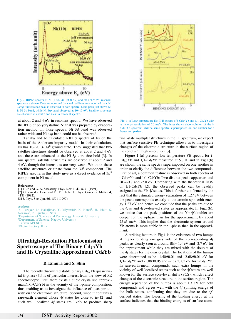

Fig. 2. RIPES spectra of Ni (110). On (66.0 eV) and off (71.9 eV) resonant spectra are shown. Dots are observed data and red lines are smoothed data. Ni 3*d*-3*p* fluorescence peak is observed in both spectra. Main peak just above EF is Ni 3*d* band, while Ni 4*sp* band observed at 10~15 eV. Satellite structures are observed at about 2 and 4 eV in resonant spectra.

at about 2 and 4 eV in resonant spectra. We have observed the IPES of polycrystalline Ni that was prepared by evaporation method. In those spectra, Ni 3*d* band was observed rather wide and Ni 4*sp* band could not be observed.

Tanaka and Jo calculated RIPES spectra of Ni on the basis of the Anderson impurity model. In their calculation, Ni has 10~20 % 3d<sup>8</sup> ground state. They suggested that two satellite structures should be observed at about 2 and 4 eV and these are enhanced at the Ni 3*p* core threshold [3]. In our spectra, satellite structures are observed at about 2 and 4 eV, though the intensities are very weak. We think these satellite structures originate from the 3*d*<sup>8</sup> component. The RIPES spectra in this study give us a direct evidence of 3*d*<sup>8</sup> component in Ni metal.

#### **References**

[1] T. Jo and G. A. Sawatzky, Phys. Rev. B **43**, 8771 (1991).

[2] G. van der Laan and B. T. Thole, J. Phys. Condens. Matter **4**, 4181 (1992).

[3] J. Phys. Soc. Jpn, **66**, 1591 (1997).

**Authors**

Y. Tezuka<sup>a</sup>, D. Nakajima<sup>a</sup>, Y. Miyazaki<sup>a</sup>, K. Kanai<sup>b</sup>, H. Ishii<sup>c</sup>, S. Nozawad, R. Eguchi, S. Shin <sup>a</sup> <sup>a</sup>Department of Science and Technology, Hirosaki University **bDepartment of Science, Nagoya University** c Taiwan APCSCT dPhoton Factory, KEK

# **Ultrahigh-Resolution Photoemission Spectroscopy of The Binary Cd5.7Yb and Its Crystalline Approximant Cd6Yb**

### **R.Tamura and S. Shin**

The recently discovered stable binary  $Cd_{5.7}Yb$  quasicrystal (i-phase) [1] is of particular interest from the view of PE spectroscopy: First, there exists a cubic crystalline approximant( $1/1$ -Cd<sub>6</sub>Yb) in the vicinity of the i-phase composition, thus enabling us to investigate the influence of quasiperiodicity on the electronic structure. Second, since it contains a rare-earth element whose  $4f$  states lie close to  $E_F [2]$  and such well localized 4*f* states are likely to produce sharp



Fig. 1. (a)Low-temperature He-I PE spectra of  $i$ -Cd<sub>5.7</sub>Yb and  $1/1$ -Cd<sub>6</sub>Yb with an energy resolution of 20 meV. The inset shows deconvolution of the i-Cd5.7Yb spectrum. (b)The same spectra superimposed on one another for a better comparison.

final-state multiplet structures in the PE spectrum, we expect that surface sensitive PE technique allows us to investigate changes of the electronic structure in the surface region of the solid with high resolution [3].

Figure 1 (a) presents low-temperature PE spectra for i- $Cd_{5.7}Yb$  and  $1/1$ -Cd<sub>6</sub>Yb measured at 5.7 K and in Fig.1(b) are shown the same spectra superimposed on one another in order to clarify the difference between the two compounds. First of all, a common feature is observed in both spectra of  $i-Cd_{5.7}Yb$  and  $1/1-Cd_{6}Yb$ : Two distinct peaks appear around BE=-0.7 and -2.0 eV. Comparing with the theoretical DOS of  $1/1$ -Cd<sub>6</sub>Yb [2], the observed peaks can be readily assigned to the Yb 4*f* states. This is further confirmed by the fact that the estimated energy separation of 1.27 eV between the peaks corresponds exactly to the atomic spin-orbit energy 1.27 eV and hence we conclude that the peaks are due to the  $4f_{7/2}$  and  $4f_{5/2}$ -derived states as appropriate. In Fig.1(b), we notice that the peak positions of the Yb 4*f* doublet are deeper for the i-phase than for the approximant, by about 25±5 meV. This implies that the electronic system around Yb atoms is more stable in the i-phase than in the approximant.

A striking feature in Fig.1 is the existence of two humps at higher binding energies side of the corresponding 4*f* peaks, as clearly seen at around BE=-1.4 eV and -2.7 eV for the approximant while they are mixed with the doublet of the 4*f* states for the quasicrystal. The locations of the humps were determined to be -1.40±0.01 and -2.68±0.01 eV for  $1/1$ -Cd<sub>6</sub>Yb and -1.08±0.05 and -2.37±0.05 eV for i-Cd<sub>5.7</sub>Yb. In rare-earth-metal compounds, such extra humps in the vicinity of well localized states such as the 4*f* states are well known for the surface core-level shifts (SCS), which reflect changes of the electronic structure in the surface region. The energy separation of the humps is about 1.3 eV for both compounds and agrees well with the 4*f* splitting energy of the bulk states, confirming that they are due to the 4*f*derived states. The lowering of the binding energy at the surface indicates that the binding energies of surface atoms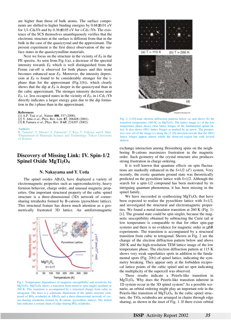are higher than those of bulk atoms. The surface components are shifted to higher binding energies by 0.68±0.01 eV for  $1/1$ -Cd<sub>6</sub>Yb and by 0.36 $\pm$ 0.05 eV for i-Cd<sub>5.7</sub>Yb. The existence of the SCS themselves unambiguously verifies that the electronic structure at the surface is different from that in the bulk in the case of the quasicrystal and the approximant. The present experiment is the first direct observation of the surface states in the quasicrystalline materials.

Next we focus on the structure in the vicinity of  $E_F$  in the PE spectra. As seen from Fig.1(a), a decrease of the spectral intensity towards  $E_F$  which is well distinguished from the Fermi cut-off is observed for both phases and this trend becomes enhanced near  $E_F$ . Moreover, the intensity depression at  $E_F$  is found to be considerably stronger for the iphase than for the approximant (Fig.1(b)), which clearly shows that the dip at  $E_F$  is deeper in the quasicrystal than in the cubic approximant. The stronger intensity decrease near  $E_F$ , i.e. less occupied states in the vicinity of  $E_F$ , in i-Cd<sub>5.7</sub>Yb directly indicates a larger energy gain due to the dip formation in the i-phase than in the approximant.

#### **References**

[1] A.P. Tsai *et al*., Nature **408**, 537 (2000).

- [2] Y. Ishii *et al*., Phys. Rev. Lett. **87**, 206408 (2001).
- [3] R.Tamura *et al*., Phys. Rev. B **65**, 224207 (2002).

#### **Authors**

R. Tamura<sup>a</sup>, Y. Murao<sup>a</sup>, S. Takeuchi<sup>a</sup>, T. Kiss, T. Yokoya, and S. Shin<br><sup>a</sup>Department of Materials Science and Technology, Tokyo University Department of Materials Science and Technology, Tokyo University of Science

# **Discovery of Missing Link: IV. Spin-1/2 Spinel Oxide MgTi2O4**

### **N. Nakayama and Y. Ueda**

The spinel oxides  $AB_2O_4$  have displayed a variety of electromagnetic properties such as superconductivity, heavy fermion behavior, charge order, and unusual magnetic properties. One important structural property of the cubic spinel structure is a three-dimensional (3D) network of cornersharing tetrahedra formed by B-cations (pyrochlore lattice). This structural feature has drawn much attention as a geometrically frustrated 3D lattice. An antiferromagnetic



Fig.1. Temperature dependence of magnetic susceptibility and resistivity for MgTi2O4. MgTi2O4 shows a transition from metal to spin-singlet insulator at 260 K. This transition is accompanied by a structural change from cubic to tetragonal. The inset is a schematic illustration of the spinel structure composed of  $BO_6$  octahedra in  $AB_2O_4$  and a three-dimensional network of corner-sharing tetrahedra formed by B-cations (pyrochlore lattice). The dotted line indicates a certain chain of edge-sharing BO<sub>6</sub> octahedra.



Fig. 2. [110]-zone electron diffraction patterns below (a) and above (b) the transition temperature (260 K) in MgTi2O4. The lattice image (c) of the low temperature phase shows clear lattice fringes of the fundamental spinel lattice. It also shows (001) lattice fringes as marked by an arrow. The perspective view (d) of the image (c) along the [1-10] direction reveals that the (001) lattice fringes appear almost whole the observed region but with several defects.

exchange interaction among Heisenberg spins on the neighboring B-cations maximizes frustration in the magnetic order. Such geometry of the crystal structure also produces strong frustration in charge ordering.

It is well known that quantum effects on spin fluctuations are markedly enhanced in the  $S=1/2$  ( $d<sup>1</sup>$ ) system. Very recently, the exotic quantum ground state was theoretically predicted on the pyrochlore lattice with *S*=1/2. Although the search for a spin-1/2 compound has been motivated by its intriguing quantum phenomena, it has been missing in the spinel family.

We have succeeded in synthesizing  $MgTi<sub>2</sub>O<sub>4</sub>$  that have been expected to realize the pyrochlore lattice with *S*=1/2, and investigated the structural and electromagnetic properties. We found a metal-insulator transition at 260 K (Fig. 1) [1]. The ground state could be spin singlet, because the magnetic susceptibility obtained by subtracting the Curie tail at low temperature is comparable to that for other spin-gap systems and there is no evidence for magnetic order in  $\mu$ SR experiments. The transition is accompanied by a structural transition from cubic to tetragonal. Shown in Fig. 2 are the change of the electron diffraction pattern below and above 260 K and the high-resolution TEM lattice image of the low temperature phase. The electron diffraction pattern at 115 K shows very weak superlattice spots in addition to the fundamental spots (Fig. 2(b)) of spinel lattice, indicating the symmetry breaking. They appear only at the forbidden reciprocal lattice points of the cubic spinel and no spot indicating the multiplicity of the supercell was observed.

These results indicate a Peierls-like transition in MgTi2O4. Why does the Peierls-like transition inherent in 1D system occur in the 3D spinel system? As a possible scenario, an orbital ordering might play an important role in the Peierls-like transition of MgTi<sub>2</sub>O<sub>4</sub>. In the cubic spinel structure, the  $TiO<sub>6</sub>$  octahedra are arranged in chains through edge sharing, as shown in the inset of Fig. 1. If there exists orbital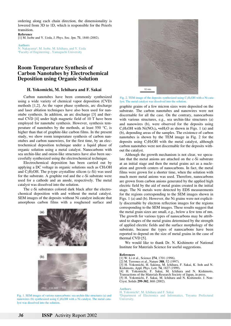ordering along each chain direction, the dimensionality is lowered from 3D to 1D, which is responsible for the Peierls transition.

**Reference** [1] M. Isobe and Y. Ueda, J. Phys. Soc. Jpn. **71**, 1848 (2002).

**Authors** N. Nakayama<sup>a</sup>, M. Isobe, M. Ichihara, and Y. Ueda<br><sup>a</sup>Eaculty of Engineering Yamaguchi University Faculty of Engineering , Yamaguchi University

# **Room Temperature Synthesis of Carbon Nanotubes by Electrochemical Deposition using Organic Solution**

### **H. Yokomichi, M. Ichihara and F. Sakai**

Carbon nanotubes have been commonly synthesized using a wide variety of chemical vapor deposition (CVD) methods [1,2]. As the vapor phase synthesis, arc discharge and laser ablation techniques have also been used for nanotube synthesis. In addition, an arc discharge [3] and thermal CVD [4] under high magnetic field of 10 T have been employed for nanotube synthesis. However, synthesis temperature of nanotubes by the methods, at least 550 °C, is higher than that of graphite-like carbon films. In the present study, we show room temperature synthesis of carbon nanotubes and carbon nanowires, for the first time, by an electrochemical deposition technique under a liquid phase of organic solution using a metal catalyst. Nanocarbons with sea urchin-like and onion-like structures have also been successfully synthesized using the electrochemical technique.

Electrochemical deposition has been carried out by applying a DC voltage in organic solutions such as CH3OH and C2H5OH. The p-type crystalline silicon (c-Si) was used for the substrate. A graphite rod and the c-Si substrate were used for a cathode and an anode, respectively. The metal catalyst was dissolved into the solution.

The c-Si substrates colored dark black after the electrochemical deposition with and without the metal catalyst. SEM images of the deposits without Ni catalyst indicate that amorphous carbon films with a roughened surface and



Fig. 1. SEM images of various nanocarbons: sea urchin-like structures (a) and nanowires (b) synthesized using C2H5OH with a Ni catalyst. The metal catalyst was dissolved into the solution.



Fig. 2. TEM image of the deposits synthesized using  $C_2H_5OH$  with a Ni catalyst. The metal catalyst was dissolved into the solution.

graphite grains of a few micron sizes were deposited on the substrate. The carbon nanotubes and nanowires were not discernable for all the case. On the contrary, nanocarbons with various structures, e.g., sea urchin-like structures (a) and nanowires (b), were observed for the deposits using C<sub>2</sub>H<sub>5</sub>OH with Ni(NO<sub>3</sub>)<sub>n</sub> •*m*H<sub>2</sub>O as shown in Figs. 1 (a) and (b), depending areas of the samples. The existence of carbon nanotubes is shown by the TEM image in Fig. 2 for the deposits using  $C_2H_5OH$  with the metal catalyst, although carbon nanotubes were not discernable for the deposits without the catalyst.

Although the growth mechanism is not clear, we speculate that the metal anions are attached on the c-Si substrate at an initial stage and then the metal grains act as a nucleation and growth centers of nanocarbons. In fact, the metal films were grown for a shorter time, when the solution with much more metal anions was used. Therefore, nanocarbons are grown from carbon anions generated by the applied high electric field by the aid of metal grains created in the initial stage. The Ni metals were detected by EDS measurements for the regions corresponding to the SEM images shown in Figs. 1 (a) and (b). However, the Ni grains were not explicitly discernable by electron reflection images for the regions corresponding to the SEM images. These results suggest that the metal grain sizes are small, e.g., below a few tens of nm. The growth for various types of nanocarbons may be attributed to shapes of the metal grains determined by the strength of applied electric fields and the surface morphology of the substrate, because the types of nanocarbons have been reported to depend on the size of metal grains in the case of thermal CVD [5].

We would like to thank Dr. N. Kishimoto of National Institute for Materials Science for useful suggestions.

#### **References**

- [1] W. Li et al., Science **274**, 1701 (1996).
- [2] M. Terrones et al., Nature **388**, 52 (1997).
- [3] H. Yokomichi, H. Sakima, M. Ichihara, F. Sakai, K. Itoh and N. Kishimoto, Appl. Phys. Lett. **74**, 1827 (1999).
- [4] H. Yokomichi, F. Sakai, M. Ichihara and N. Kishimoto, Transactions of the Materials Research Society of Japan, in press.
- [5] H. Yokomichi, F. Sakai, M. Ichihara and N. Kishimoto. J. Non-Cryst. Solids **299-302**, 868 (2002).

#### **Authors**

H. Yokomichi<sup>a</sup>, M. Ichihara and F. Sakai<br><sup>a</sup>Department of Electronics and Infor Department of Electronics and Informatics, Toyama Prefectural University.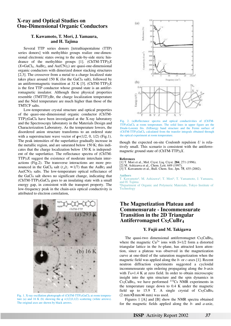# **X-ray and Optical Studies on One-Dimensional Organic Conductors**

# **T. Kawamoto, T. Mori, J. Yamaura, and H. Tajima**

Several TTP series donors [tetrathiapentalene (TTP) series donors] with methylthio groups realize one-dimensional electronic states owing to the side-by-side steric hindrance of the methylthio groups [1]. (ChTM-TTP)2*X*  $(X=GaCl<sub>4</sub>, AuBr<sub>2</sub>, and Au(CN)<sub>2</sub>)$  are quasi-one-dimensional organic conductors with dimerized donor stacking structures [2,3]. The crossover from a metal to a charge localized state takes place around 150 K (for the GaCl<sub>4</sub> salt), followed by an antiferromagnetic transition at 32 K [3]. (ChTM-TTP)2*X* is the first TTP conductor whose ground state is an antiferromagnetic insulator. Although these physical properties resemble (TMTTF)2Br, the charge localization temperature and the Néel temperature are much higher than those of the TMT*C*F salts.

Low-temperature crystal structure and optical properties of the quasi-one-dimensional organic conductor (ChTM-TTP)2GaCl4 have been investigated at the X-ray laboratory and the Spectroscopy laboratory in the Materials Design and Characterization Laboratory. As the temperature lowers, the disordered anion structure transforms to an ordered state with a superstructure wave vector of  $q=(1/2, 0, 1/2)$  (Fig.1). The peak intensities of the superlattice gradually increase in the metallic region, and are saturated below 150 K; this indicates that the charge localization below 150 K is independent of the superlattice. The reflectance spectra of (ChTM-TTP)2*X* suggest the existence of moderate interchain interactions (Fig.2). The transverse interactions are more pronounced in the GaCl<sub>4</sub> salt ( $t\perp/t_{||} \approx 1/7$ ) than the AuBr<sub>2</sub> and  $Au(CN)_2$  salts. The low-temperature optical reflectance of the GaCl4 salt shows no significant change, indicating that  $(ChTM-TTP)_2GaCl_4$  goes to an insulating state with a small energy gap, in consistent with the transport property. The low-frequency peak in the chain-axis optical conductivity is attributed to electron correlation,



Fig. 1. X-ray oscillation photograph of (ChTM-TTP)<sub>2</sub>GaCl<sub>4</sub> at room temperature (a) and 16 K (b) showing the  $q = (1/2,0,1/2)$  scattering (white arrows). The original axes are shown by black arrows.



Fig. 2. (a)Reflectance spectra and optical conductivities of (ChTM-TTP)2GaCl4 at room temperature. The solid lines in upper figure are the Drude-Lorentz fits. (b)Energy band structure and the Fermi surface of (ChTM-TTP)2GaCl4 calculated from the transfer integrals obtained through the optical experiment at room temperature.

though the expected on-site Coulomb repulsion *U* is relatively small. This scenario is consistent with the antiferromagnetic ground state of (ChTM-TTP)2*X*.

#### **References**

[1] T. Mori et al., Mol. Cryst. Liq. Cryst. **284**, 271 (1996).

[2] M. Ashizawa et al., Chem. Lett. 649 (1997).

[3] T. Kawamoto et al., Bull. Chem. Soc. Jpn. **75**, 435 (2002).

#### **Authors**

T. Kawamoto<sup>a</sup>, M. Ashizawa<sup>a</sup>, T. Mori<sup>a</sup>, T. Yamamoto, J. Yamaura, and H. Tajima

a Department of Organic and Polymeric Materials, Tokyo Institute of **Technology** 

# **The Magnetization Plateau and Commensurate - Incommensurate Transition in the 2D Triangular Antiferromagnet Cs2CuBr4**

# **Y. Fujii and M. Takigawa**

The quasi-two dimensional antiferromagnet  $Cs<sub>2</sub>CuBr<sub>4</sub>$ , where the magnetic  $Cu^{2+}$  ions with  $S=1/2$  form a distorted triangular lattice in the *bc*-plane, has attracted keen attention, since a plateau was observed in the magnetization curve at one-third of the saturation magnetization when the magnetic field was applied along the *b*- or *c*-axes [1]. Recent neutron diffraction experiments suggested a cycloidal incommensurate spin ordering propagating along the *b*-axis with  $T_N$ =1.4 K at zero field. In order to obtain microscopic insight into the spin structure and the spin dynamics in Cs2CuBr4, we have performed 133Cs NMR experiments in the temperature range down to 0.4 K under the magnetic field up to 15.9 T. A single crystal of  $Cs_2CuBr_4$ (2 mm×3 mm×4 mm) was used.

Figures 1 [A] and [B] show the NMR spectra obtained for the magnetic fields applied along the *b*- and *a*-axie,

**ISSP** Activity Report 2002 *37*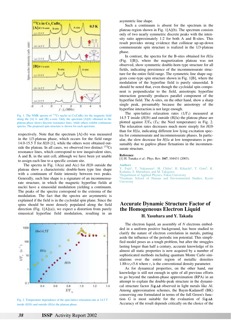

Fig. 1. The NMR spectra of  $^{133}Cs$  nuclei in Cs<sub>2</sub>CuBr<sub>4</sub> for the magnetic field along the [A] *b*- and [B] *a*-axie. Only the spectrum [A](b) obtained in the plateau phase shows discrete reaonance lines, while others exhibit continuous spectra. The proposed spin structure is shown for each spectrum.

respectively. Note that the spectrum [A]-(b) was measured in the 1/3-plateau phase, which occurs for the field range 14.0-15.5 T for *H*//*b* [1], while the others were obtained outside the plateau. In all cases, we observed two distinct  $^{133}Cs$ resonance lines, which correspond to tow inequivalent sites, A and B, in the unit cell, although we have been yet unable to assign each line to a specific cesium site.

The spectra in Fig. 1A(a) and A(c) for *H*//*b* outside the plateau show a characteristic double-horn type line shape with a continuum of finite intensity between two peaks. Generally, such line shape is a signature of an incommensurate structure, in which the magnetic hyperfine fields at nuclei have a sinusoidal modulation yielding a continuum. The peaks of the spectra correspond to the extrema of the modulation. The fact that the spectra are asymmetric is explained if the field is in the cycloidal spin plane. Since the spins should be more densely populated along the field direction (Fig.  $1[A](a)$ ), we expect a distortion from purely sinusoical hyperfine field modulation, resulting in an



Fig. 2. Temperature dependence of the spin-lattice relaxation rate at 14.5 T inside (*H*//*b*) and outside (*H*//*a*) the plateau phase.

asymmtric line shape.

Such a continuum is absent for the spectrum in the plateau region shown in Fig. 1[A](b). The spectrum consists only of two nearly symmetric discrete peaks with the intensity ratio approximately 1:2 for both A and B-sites. This result provides strong evidence that collinear up-up-down commensurate spin structure is realized in the 1/3-plateau phase.

In contrast, the spectra for the B-sites obtained for *H*//*a* (Fig. 1[B]), where the magnetization plateau was not observed, show symmetric double-horn type structure for all fields, indicating persistence of the incommensurate structure for the entire field range. The symmetric line shape suggests cone-type spin structure shown in Fig. 1[B], where the modulation of the hyperfine field is purely sinusoidal. It should be noted that, even though the cycloidal spin component is perpendicular to the field, anisotropic hyperfine interaction generally produces parallel component of the hyperfine field. The A-sites, on the other hand, show a sharp single peak, presumably because the anisotropy of the hyperfine interaction is not large enough.

The spin-lattice relaxation rates  $(1/T_1)$  measured at 14.5 T inside (*H*//*b*) and outside (H//a) the plateau phase are plotted against  $T/T_N$  ( $T_N$ : the Neel temperature) in Fig. 2. The relaxation rates decreases much more steeply for *H*//*b* than for *H*//*a*, indicating different low lying excitation spectra for commensurate and incommensurate phases. In particular, the slow decrease for *H*//*a* at low temperatures is presumably due to gapless phase flctuations in the incommensurate structure.

#### **Reference**

[1] H. Tanaka *et al*.: Phys. Rev. B**67**, 104431 (2003).

**Authors**

Y. Fujii<sup>a</sup>, T. Nakamura<sup>a</sup>, M. Chiba<sup>a</sup>, H. Kikuchi<sup>a</sup>, T. Goto<sup>b</sup>, K. Kodama, S. Matsubara, and M. Takigawa a Department of Applied Physics, Fukui University

<sup>b</sup>Graduate School of Human and Environmental Studies, Kyoto **University** 

# **Accurate Dynamic Structure Factor of the Homogeneous Electron Liquid**

# **H. Yasuhara and Y. Takada**

The electron liquid, an assembly of *N* electrons embedded in a uniform positive background, has been studied to clarify the nature of electron correlation in metals, putting aside the influence of the periodic ion potential. This simplified model poses us a tough problem, but after the struggles lasting longer than half a century, accurate knowledge of its almost all static properties is now acquired by a number of sophisticated methods including quantum Monte Carlo simulations over the entire region of metallic densities 1.88 $\lt r_s$  5.6 where  $r_s$  is the conventional density parameter.

As for dynamical properties, on the other hand, our knowledge is still not enough in spite of all previous efforts to go beyond the random-phase approximation (RPA) in an attempt to explain the double-peak structure in the dynamical structure factor  $S(q,\omega)$  observed in light metals like Al. Among approximation schemes, the Baym-Kadanoff (BK) conserving one formulated in terms of the full Green's function *G* is most suitable for the evaluation of  $S(q,\omega)$ . Accuracy of the result depends critically on the choice of the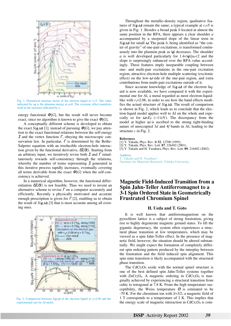

Fig. 1. Dynamical structure factor of the electron liquid at  $r_s = 5$ . The value indicated by  $\omega_p$  is the plasmon energy at  $q=0$ . The excitonic effect manifests itself in the structure indicated by *a*.

energy functional  $\Phi[G]$ , but the result will never become exact, since no algorithm is known to give the exact  $\Phi[G]$ .

A conceptually different scheme is developed to obtain the exact  $S(q,\omega)$  [1]; instead of pursuing  $\Phi[G]$ , we pay attention to the exact functional relations between the self-energy Σ and the vertex function  $Γ$ , obeying the microscopic conservation law. In particular,  $\Gamma$  is determined by the Bethe-Salpeter equation with an irreducible electron-hole interaction given by the functional derivative, δΣ/δ*G*. Starting from an arbitrary input, we iteratively revise both  $\Sigma$  and  $\Gamma$  simultaneously towards self-consistency through the relations, whereby the number of terms representing  $\Sigma$  generated in this iterative process rapidly increases, eventually covering all terms derivable from the exact  $\Phi[G]$  when the self-consistency is achieved.

In a numerical algorithm, however, the functional differentiation  $\delta \Sigma / \delta G$  is not feasible. Thus we need to invent an alternative scheme to revise  $\Gamma$  on a computer accurately and efficiently. Recently a physically motivated and accurate enough prescription is given for  $\Gamma$ [2], enabling us to obtain the result of  $S(q,\omega)$  [3] that is most accurate among all existing ones.



Fig. 2. Comparison between  $S(q,\omega)$  of the electron liquid at  $r_s$ =2.08 and the experimental one for Al metal.

Throughout the metallic-density region, qualitative features of  $S(q,\omega)$  remain the same; a typical example at  $r_s=5$  is given in Fig. 1. Besides a broad peak *b* located at almost the same position in the RPA, there appears a clear shoulder *a* accompanied by a steepened slope of the linear term in  $S(q,\omega)$  for small  $\omega$ . The peak *b*, being identified as "the center of gravity" of one-pair excitations, is transformed continuously into the plasmon peak as |*q*| decreases. The shoulder *a* is well developed particularly for  $1.4 < |q|/p_F < 2$  and the slope is surprisingly enhanced over the RPA value accordingly. These features imply inseparable coupling between one- and multi-pair excitations in the one-pair excitation region, attractive electron-hole multiple scattering (excitonic effect) on the low- $\omega$  side of the one-pair region, and extra contributions from multi-pair excitations outside of it.

Since accurate knowledge of  $S(q,\omega)$  of the electron liquid is now available, we have compared it with the experimental one for Al, a metal regarded as most electron-liquidlike with  $r_s$ =2.08, in order to see how the band effects modifies the actual structure of  $S(q,\omega)$ . The result of comparison is shown in Fig. 2, which leads us to conclude that the electron-liquid model applies well to Al on the whole and especially so for  $\omega \ll E_F$  (~11eV). The discrepancy from the model at higher  $\omega$  is ascribed to the strong tight-binding nature of unoccupied 3*d* and 4*f* bands in Al, leading to the structure *c* in Fig. 2.

#### **References**

- [2] Y. Takada, Phys. Rev. Lett. **87**, 226402 (2001).
- [3] Y. Takada and H. Yasuhara, Phys. Rev. Lett. **89**, 216402 (2002).

**Authors** Y. Takada and H. Yasuhara<sup>a</sup> a Institute for Materials Research, Tohoku University.

# **Magnetic Field-Induced Transition from a Spin Jahn-Teller Antiferromagnet to a 3-1 Spin Ordered State in Geometrically Frustrated Chromium Spinel**

### **H. Ueda and T. Goto**

It is well known that antiferromagnetism on the pyrochlore lattice is a subject of strong frustration, giving rise to highly degenerate magnetic ground states. To lift the gigantic degeneracy, the system often experiences a structural phase transition at low temperatures, which may be viewed as a spin Jahn-Teller effect. In the presence of magnetic field, however, the situation should be altered substantially. We might expect the formation of completely different spin ordering pattern produced by the interplay between the frustration and the field induced spin alignment. This spin state transition is likely accompanied with the structural phase transition.

The  $CdCr<sub>2</sub>O<sub>4</sub>$  oxide with the normal spinel structure is one of the best defined spin Jahn-Teller systems together with  $ZnCr_2O_4$ . A magnetic ordering in  $CdCr_2O_4$  is marginally achieved by experiencing a structural transition from cubic to tetragonal at 7.8 K. From the high temperature susceptibility, the Weiss temperature  $\Theta$  is estimated to be -70 K. For the chromium ion with *S*=3/2, a magnetic field of 1 T corresponds to a temperature of 2 K. This implies that the energy scale of magnetic interaction in CdCr<sub>2</sub>O<sub>4</sub> is com-

**ISSP** Activity Report 2002 *39*

<sup>[1]</sup> Y. Takada, Phys. Rev. B **52**, 12708 (1995).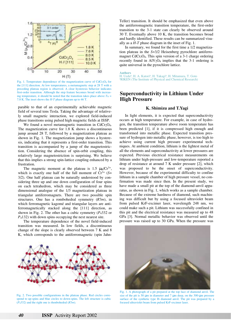

Fig. 1. Temperature dependence of the magnetization curve of CdCr<sub>2</sub>O<sub>4</sub> for the [111] direction. At low temperatures, a metamagnetic step at 28 T with a preceding plateau region is observed. A clear hysteresis behavior indicates first-order transition. Although the step feature becomes broad with increasing temperature, it should be noted that the transition takes place above  $T_N =$ 7.8 K. The inset shows the *H*-*T* phase diagram up to 46 T.

parable to that of an experimentally achievable magnetic field of several tens Tesla. Taking the advantage of relatively small magnetic interaction, we explored field-induced phase transitions using pulsed high magnetic fields at ISSP.

We found a novel metamagnetic transition in  $CdCr<sub>2</sub>O<sub>4</sub>$ . The magnetization curve for 1.8 K shows a discontinuous jump around 28 T, followed by a magnetization plateau as shown in Fig. 1. The magnetization jump shows a hysteresis, indicating that it represents a first-order transition. This transition is accompanied by a jump of the magnetostriction. Considering the absence of spin-orbit coupling, this relatively large magnetostriction is surprising. We believe that this implies a strong spin-lattice coupling enhanced by a frustration.

The magnetic moment at the plateau is 1.5  $\mu_B/Cr^{3+}$ , which is exactly one half of the full moment of Cr3+ (*S*= 3/2). One half plateau can be naturally understood by considering three up and one down configuration of four spins on each tetrahedron, which may be considered as three dimensional analogue of the 1/3 magnetization plateau in triangular antiferromagnets. There are two possible spin structures. One has a rombohedral symmetry (*R*3*m*), in which ferromagnetic kagomé and triangular layers are antiferromagnetically stacked along the [111] direction, as shown in Fig. 2. The other has a cubic symmetry (*P*4332 or *P*4132) with down spins occupying the next nearest site.

The temperature dependence of the novel field-induced transition was measured. In low fields, a discontinuous change of the slope is clearly observed between 7 K and 8 K, which corresponds to the antiferromagnetic (spin Jahn-



Fig. 2. Two possible configurations in the plateau phase. Red circles correspond to up-spins and blue circles to down-spins. The left structure is cubic (*P*4332) and the right one is rhonbohedral (*R*3*m*).

Teller) transition. It should be emphasized that even above the antiferromagnetic transition temperature, the first-order transition to the 3-1 state can clearly be observed around 30 T. Eventually above 10 K, the transition becomes broad and hardly identified. These results can be summarized visually as a *H*-*T* phase diagram in the inset of Fig. 1.

In summary, we found for the first time a 1/2 magnetization plateau in the *S*=3/2 Heisenberg pyrochlore antiferromagnet CdCr<sub>2</sub>O<sub>4</sub>. This spin version of a 3-1 charge ordering recently found in  $\text{AlV}_2\text{O}_4$  implies that the 3-1 ordering is quite universal in the pyrochlore lattice.

### **Authors**

H. Ueda<sup>a</sup>, H. A. Katori<sup>a</sup>, H. Takagi<sup>a</sup>, H. Mitamura, T. Goto aktrica en al est en la especial and Chemical Research RIKEN (The Institute of Physical and Chemical Research)

# **Superconductivity in Lithium Under High Pressure**

# **K. Shimizu and T.Yagi**

In light elements, it is expected that superconductivity occurs at high temperature. For example, in case of hydrogen, the transition temperature above room temperature has been predicted [1], if it is compressed high enough and transformed into metallic phase. Expected transition pressure of hydrogen into metallic phase, however, is too high to achieve using current high pressure experimental techniques. At ambient condition, lithium is the lightest metal of all the elements and superconductivity at lower pressures are expected. Previous electrical resistance measurements on lithium under high-pressure and low-temperature reported a drop of resistance at around 7 K under pressure [2], which was proposed to be the onset of superconductivity. However, because of the experimental difficulty to confine lithium in a sample chamber of high pressure vessel, no confirmation was made since then. In the present study, we have made a small pit at the top of the diamond-anvil apparatus, as shown in Fig. 1, which works as a sample chamber. Because of the extreme hardness of diamond, such machining was difficult but by using a focused ultraviolet beam from pulsed KrF-excimer laser, wavelength 248 nm, we could make such a pit. Lithium was successfully confined in this pit and the electrical resistance was measured up to 48 GPa [3]. Normal metallic behavior was observed until the pressure was raised up to 30 GPa. When the pressure was



Fig. 1. A photograph of a pit prepared at the top face of diamond anvil. The size of the pit is 50  $\mu$ m in diameter and 7  $\mu$ m deep, on the 300- $\mu$ m pressure surface of the synthetic type Ib diamond anvil. The pit was prepared by a focused ultraviolet beam from pulsed KrF-excimer laser.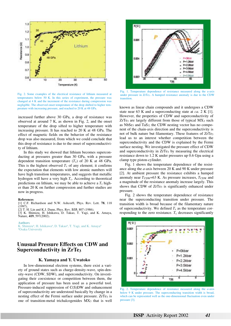

Fig. 2. Some examples of the electrical resistance of lithium measured at temperatures below 50 K. In this series of experiment, the pressure was changed at 4 K and the increment of the resistance during compression was negligible. The observed onset temperature of the drop shifted to higher temperature with increasing pressure, and reached to 20 K at 48 GPa.

increased further above 30 GPa, a drop of resistance was observed at around 7 K, as shown in Fig. 2, and the onset temperature of the drop sifted to higher temperature with increasing pressure. It has reached to 20 K at 48 GPa. The effect of magnetic fields on the behavior of the resistance drop was also measured, from which we could conclude that this drop of resistance is due to the onset of superconductivity of lithium.

In this study we showed that lithium becomes superconducting at pressures greater than 30 GPa, with a pressure dependent transition temperature  $(T_c)$  of 20 K at 48 GPa. This is the highest observed  $T_c$  of any element; it confirms the expectation that elements with low atomic numbers will have high transition temperatures, and suggests that metallic hydrogen will have a very high  $T_c$ . According to theoretical predictions on lithium, we may be able to achieve a  $T_c$  higher than 20 K on further compression and further studies are now in progress.

#### **References**

[1] C.F. Richardson and N.W. Ashcorft, Phys. Rev. Lett. **78**, 118  $(1997)$ .

[2] T. H. Lin and K.J. Dunn, Phys. Rev. B**33**, 807 (1986).

[3] K. Shimizu, H. Ishikawa, D. Takao, T. Yagi, and K. Amaya, Nature, **419**, 597(2002).

**Authors**

K. Shimizu<sup>a</sup>, H. Ishikawa<sup>a</sup>, D. Takao<sup>a</sup>, T. Yagi, and K. Amaya<sup>a</sup> a Osaka University

# **Unusual Pressure Effects on CDW and Superconductivity in ZrTe3**

### **K. Yamaya and Y. Uwatoko**

In low-dimensional electron systems, there exist a variety of ground states such as charge-density-wave, spin-density-wave (CDW, SDW), and superconductivity. On investigating their coexistence or competition between them, the application of pressure has been used as a powerful tool. Pressure-induced suppression of C(S)DW and enhancement of superconductivity are understood basically by change in a nesting effect of the Fermi surface under pressure. ZrTe<sub>3</sub> is one of transition-metal trichalcogenides MX3 that is well



Fig. 1. Temperature dependence of resistance measured along the a-axis under pressure in ZrTe3. A humped resistance anomaly is due to the CDW transition.

known as linear chain compounds and it undergoes a CDW state near 63 K and a superconducting state at *ca*. 2 K [1]. However, the properties of CDW and superconductivity of  $ZrTe<sub>3</sub>$  are largely different from those of typical  $MX<sub>3</sub>$  such as  $NbSe<sub>3</sub>$  and TaS<sub>3</sub>; the CDW nesting vector has no component of the chain-axis direction and the superconductivity is not of bulk nature but filamentary. These features of ZrTe3 lead us to an interest whether competition between the superconductivity and the CDW is explained by the Fermi surface nesting. We investigated the pressure effect of CDW and superconductivity in ZrTe<sub>3</sub> by measuring the electrical resistance down to 1.2 K under pressures up 0.6 Gpa using a clamp type piston-cylinder.

Fig. 1 shows the temperature dependence of the resistance along the *a*-axis between 20 K and 90 K under pressure [2]. At ambient pressure the resistance exhibits a humped anomaly near  $T_{CDW}$ =63 K. As pressure increases,  $T_{CDW}$  and a magnitude of the resistance anomaly increase largely. This shows that CDW of ZrTe3 is significantly enhanced under pressure.

Fig. 2 shows the temperature dependence of resistance near the superconducting transition under pressure. The transition width is broad because of the filamentary nature of superconductivity. We defined  $T_c$  as the temperature corresponding to the zero resistance.  $T_c$  decreases significantly



Fig. 2. Temperature dependence of resistance measured along the *a*-axis below 9 K under pressure. The superconducting transition width is broad, which can be represented well as the one-dimensional fluctuation even under pressure [3].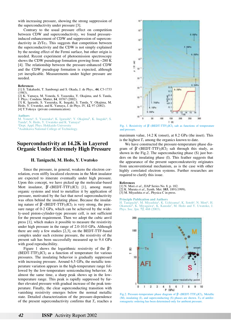with increasing pressure, showing the strong suppression of the superconductivity under pressure [3].

Contrary to the usual pressure effect on competition between CDW and superconductivity, we found pressureinduced enhancement of CDW and suppression of superconductivity in ZrTe<sub>3</sub>. This suggests that competition between the superconductivity and the CDW is not simply explained by the nesting effect of the Fermi surface, but other origin is needed. Recent experiment of photoemission spectroscopy shows the CDW pseudogap formation growing from ~280 K [4]. The relationship between the pressure-enhanced CDW and the CDW pseudogap formation is expected, although yet inexplicable. Measurements under higher pressure are needed.

#### **References**

[1] S. Takahashi, T. Sambongi and S. Okada, J. de Phys., **44**, C3-1733 (1983).

[2] K. Yamaya, M. Yoneda, S. Yasuzuka, Y. Okajima, and S. Tanda, J. Phys.: Condens. Matter, **14**, 10767 (2002).

[3] K. Igarashi, S. Yasuzuka, K. Inagaki, S. Tanda, Y. Okajima, M. Hedo, Y. Uwatoko, and K. Yamaya, J. de Phys. IV, **12**, 97 (2002).

[4] T.Yokoya (private communication).

#### **Authors**

M. Yoneta<sup>a</sup>, S. Yasuzuka<sup>a</sup>, K. Igarashi<sup>a</sup>, Y. Okajima<sup>b</sup>, K. Inagaki<sup>a</sup>, S. Tanda<sup>a</sup>, N. Hedo, Y. Uwatoko and K. Yamaya<sup>a</sup> a Dept. Appl. Phys. Hokkaido University **bAsahikawa National College of Technology.** 

# **Superconductivity at 14.2K in Layered Organic Under Extremely High Pressure**

### **H. Taniguchi, M. Hedo, Y. Uwatoko**

Since the pressure, in general, weakens the electron correlation, even stiffly localized electrons in the Mott insulator are expected to itinerate eventually under high pressure. Upon this concept, we have picked up the molecular-based Mott insulator,  $β'$ -(BEDT-TTF)<sub>2</sub>ICl<sub>2</sub> [1], among many organic systems and tried to metallize it by application of pressure, motivated by the fact that novel superconductivity was often behind the insulating phase. Because the insulating nature of  $β'$ -(BEDT-TTF)<sub>2</sub>ICl<sub>2</sub> is very strong, the pressure range of 0-2 GPa, which can be achieved by the widely-used piston-cylinder-type pressure cell, is not sufficient for the present requirement. Then we adopt the cubic anvil press [1], which makes it possible to measure the resistivity under high pressure in the range of 2.0-10.0 GPa. Although there are only a few studies [2,3], on the BEDT-TTF-based complex under such extreme pressure, the resistivity of the present salt has been successfully measured up to 9.4 GPa with good reproducibility.

Figure 1 shows the logarithmic resistivity of the  $\beta$ '- $(BEDT-TTF)$ <sub>2</sub>ICl<sub>2</sub> as a function of temperature for various pressures. The insulating behavior is gradually suppressed with increasing pressure. Around 6.5 GPa, the metallic temperature variation appears in the high-temperature range followed by the low-temperature semiconducting behavior. At almost the same time, a sharp peak shows up in the lowtemperature range. This peak is rapidly suppressed by further elevated pressure with gradual increase of the peak temperature. Finally, the clear superconducting transition with vanishing resistivity emerges below the normal metallic state. Detailed characterization of the pressure-dependence of the present superconductivity confirms that  $T_c$  reaches a



Fig. 1. Resistivity of  $β'$ -(BEDT-TTF)<sub>2</sub>ICl<sub>2</sub> salt as functions of temperature and pressure.

maximum value, 14.2 K (onset), at 8.2 GPa (the inset). This is the highest  $T_c$  among the organics known to date.

We have constructed the pressure-temperature phase diagram of  $\beta'$ -(BEDT-TTF)<sub>2</sub>ICl<sub>2</sub> salt through this study, as shown in the Fig.2. The superconducting phase (S) just borders on the insulating phase (I). This feather suggests that the appearance of the present supercondcutuvity originates from unconventional mechanism, as is the case with other highly correlated electron systems. Further researches are required to clarify this issue.

#### **References**

[1] N. Mori *et al*., JJAP Series No. 8, p. 182.

[2] K. Murata *et al*., Synth. Met. **103**, 1891(1999).

[3] M. Miyashita *et al*., Physica C in press.

**Principle Publication and Authors**

H. Taniguchi<sup>a</sup>, M. Miyashita<sup>a</sup>, K. Uchiyama<sup>a</sup>, K. Sotoh<sup>a</sup>, N. Mori<sup>a</sup>, H.<br>Okamoto<sup>b</sup>, K. Miyagawa<sup>c</sup>, K. Kanoda<sup>c</sup>, M. Hedo and Y. Uwatoko, J. Phys. Soc. Jpn. **72**, 468 (2003).



Fig.2. Pressure-temperature phase diagram of β'-(BEDT-TTF)<sub>2</sub>ICl<sub>2</sub>. Metallic (M), insulating (I), and superconducting (S) phases are shown.  $T_N$  of antiferromagnetic ordering has been determined only for ambient pressure.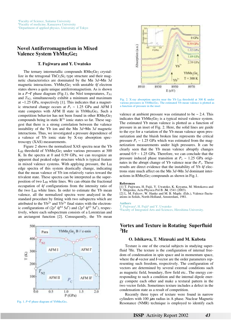# **Novel Antiferromagnetism in Mixed Valence System YbMn<sub>2</sub>Ge<sub>2</sub>**

### **T. Fujiwara and Y. Uwatoko**

The ternary intermetallic compounds  $RMn_2Ge_2$  crystallize in the tetragonal  $ThCr<sub>2</sub>Si<sub>2</sub>$  type structure and their magnetic characteristics are dominated by the Mn 3*d*−Mn 3*d* magnetic interactions. YbMn<sub>2</sub>Ge<sub>2</sub> with unstable 4f electron states shows a quite unique antiferromagnetism. As is shown in a *P*−*T* phase diagram (Fig.1), the Néel temperatures,  $T_{N1}$ and  $T_{N2}$ , simultaneously exhibit a minimum and maximum at ~1.25 GPa, respectively [1]. This indicates that a magnetic structural change occurs at  $P_c \sim 1.25$  GPa and AFM I state competes with AFM II state in YbMn2Ge2. Such a competition behavior has not been found in other RMn<sub>2</sub>Ge<sub>2</sub> compounds being in static  $R^{3+}$  ionic states so far. These suggest that there is a strong correlation between the valence instability of the Yb ion and the Mn 3*d*−Mn 3*d* magnetic interactions. Thus, we investigated a pressure dependence of a valence of Yb ionic state by X-ray absorption spectroscopy (XAS) measurements.

Figure 2 shows the normalized XAS spectra near the Yb  $L_{III}$  threshold of YbMn<sub>2</sub>Ge<sub>2</sub> under various pressures at 300 K. In the spectra at 0 and 0.59 GPa, we can recognize an apparent dual peaked edge structure which is typical feature in mixed valence systems. With applying pressure, the  $L_{III}$ edge spectra of this system drastically change, indicating that the mean valence of Yb ion relatively varies toward the trivalent state. These spectra can be interpreted as the superposition of two LIII white lines. We can obtain the fractional occupation of 4*f* configurations from the intensity ratio of the two  $L_{III}$  white lines. In order to estimate the Yb mean valence, all the normalized spectra were analyzed in the standard procedure by fitting with two subspectra which are attributed to the  $Yb^{2+}$  and  $Yb^{3+}$  final states with the electronic configurations of  $(2p^5 4f^{14} 5d^*)$  and  $(2p^5 4f^{13} 5d^*)$ , respectively, where each subspectrum consists of a Lorentzian and an arctangent function [2]. Consequently, the Yb mean



Fig. 1. *P*−*T* phase diagram of YbMn<sub>2</sub>Ge<sub>2</sub>.



Fig. 2. X-ray absorption spectra near the Yb  $L_{III}$  threshold at 300 K under various pressures in YbMn<sub>2</sub>Ge<sub>2</sub>. The estimated Yb mean valence is plotted as a function of pressure in the inset

valence at ambient pressure was estimated to be  $\sim$  2.4. This indicates that  $YbMn_2Ge_2$  is a typical mixed valence system. The estimated Yb mean valence is plotted as a function of pressure in an inset of Fig. 2. Here, the solid lines are guide to the eye for a variation of the Yb mean valence upon pressurization and the bluish broken line represents the critical pressure  $P_c \sim 1.25$  GPa which was estimated from the magnetization measurements under high pressures. It can be clearly seen that the Yb mean valence abruptly changes around  $0.9 \sim 1.25$  GPa. Therefore, we can conclude that the pressure induced phase transition at  $P_c \sim 1.25$  GPa originates in the abrupt change of Yb valence near the  $P_c$ . These results are direct evidence that the instability of Yb 4*f* electrons state much affect on the Mn 3*d*−Mn 3*d* dominant interactions in  $RMn_2Ge_2$  compounds as shown in Fig.1.

#### **References**

[1] T. Fujiwara, H. Fujii, Y. Uwatoko, K. Koyama, M. Motokawa and T. Shigeoka, Acta Physica Pol B. **34**, 1541 (2003). [2] L. M. Falicov, W. Hanke and M. B. Maple. (Eds.), Valence fluctuations in Solids, North-Holland, Amsterdam, 1981.

**Authors**

T. Fujiwara<sup>a</sup>, H. Fujii<sup>a</sup> and Y. Uwatoko<br><sup>a</sup>Eaculty of Integrated Arts and Science Faculty of Integrated Arts and Sciences, Hiroshima University.

# **Vortex and Texture in Rotating Superfluid 3He**

### **O. Ishikawa, T. Mizusaki and M. Kubota**

Texture is one of the crucial subjects in studying superfluid 3He. The texture is the configuration of internal freedom of condensation in spin space and in momentum space, where the *d*-vector and *l*-vector are the order parameters representing such freedom, respectively. The configuration of vectors are determined by several external conditions such as magnetic field, boundary, flow field etc.. The energy corresponding to such a condition and the internal dipole energy compete each other and make a textural pattern in the two vector fields. Sometimes texture includes a defect in the condensation state as a result of competition.

Recently three types of texture were found in narrow cylinders with 100  $\mu$ m radius in A phase. Nuclear Magnetic Resonance (NMR) technique is employed to identify each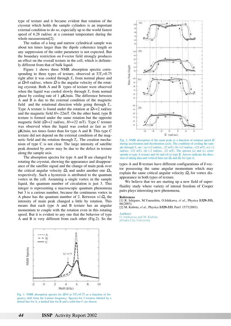type of texture and it became evident that rotation of the cryostat which holds the sample cylinders is an important external condition to do so, especially up to the world fastest speed of 6.28 rad/sec at a constant temperature during the whole measurement[2].

The radius of a long and narrow cylindrical sample was about ten times larger than the dipole coherence length so any suppression of the order parameter is not expected. But the boundary restriction on *l*-vector field strongly produces an effect on the overall texture in the cell, which is definitely different from that of bulk liquid.

Figure 1 shows three NMR absorption spectra corresponding to three types of texture, observed at  $T/T_c=0.75$ right after it was cooled through  $T_c$  from normal phase and at  $\Omega$ =0 rad/sec, where  $\Omega$  is the angular velocity of the rotating cryostat. Both A and B types of texture were observed when the liquid was cooled slowly through  $T_c$  from normal phase by cooling rate of 1  $\mu$ K/min. The difference between A and B is due to the external condition of the magnetic field and the rotational direction while going through  $T_c$ . Type A texture is found under the rotation at  $\Omega$ =+2 rad/sec and the magnetic field *H*=-22mT. On the other hand, type B texture is formed under the same rotation but the opposite magnetic field  $(\Omega=+2 \text{ rad/sec}, H=+22 \text{ mT})$ . Type C texture was observed when the liquid was cooled as fast as 10  $\mu$ K/min, ten times faster than for type A and B. This type C texture did not depend on the external condition of the magnetic field and the rotation through  $T_c$ . The creation mechanism of type C is not clear. The large intensity of satellite peak denoted by arrow may be due to the defect in texture along the sample axis.

The absorption spectra for type A and B are changed by rotating the cryostat, showing the appearance and disappearance of the satellite signal and the change of main peak over the critical angular velocity  $\Omega_n$  and under another one  $\Omega_a$ , respectively. Such a hysteresis is attributed to the quantum vortex in the cell. Assuming a single vortex in the sample liquid, the quantum number of circulation is just 3. This integer is representing a macroscopic quantum phenomena but 3 is a curious number, because the continuous vortex in A phase has the quantum number of 2. Between  $+/-\Omega_n$  the intensity of main peak changed a little by rotation. This means that each type A and B texture has an angular momentum to couple with the rotation even in this rotating speed. But it is evident to any one that the behavior of type A and B is very different from each other (Fig.2). So the



Fig. 1. NMR absorption spectra for  $\Omega$ =0 at  $T/T_c$ =0.75 as a function of frequency shift from the Larmor frequency. Spectra for 3 textures labeled by a dotted line for A, a dashed line for B and a solid line C are shown.



Fig. 2. NMR absorption of the main peak as a function of rotation speed  $\Omega$ during acceleration and deceleration cycle. The condition of cooling the sample through *T*<sup>c</sup> are : (a) (+2 rad/sec, -22 mT), (b) (+2 rad/sec, +22 mT), (c) (-2 rad/sec,  $+22$  mT), (d)  $(-2 \text{ rad/sec}, -22 \text{ mT})$ . The spectra  $(a)$  and  $(c)$  corresponds to type A texture and (b) and (d) to type B. Arrows indicate the direction of taking data and vertical lines are  $\Omega$ <sub>n</sub> and  $\Omega$ <sub>a</sub> for type A.

types A and B texture have different configurations of *l*-vector possessing the same angular momentum which may explain the same critical angular velocity  $\Omega_a$  for vortex disappearance in both types of texture.

We believe that we are starting up a new field of superfluidity study where variety of intenal freedom of Cooper pairs plays interesting new phenomena.

#### **References**

[1] R. Ishiguro, M.Yamashita, O.Ishikawa, *el al*., Physica B**329-333,** 66(2003).

[2] M. Kubota, *el al*., Physica B**329-333**, Part1 1577(2003).

### **Authors**

O. Ishikawaa and M. Kubota. aOsaka City University

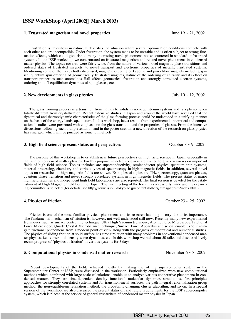# **ISSP WorkShop (April 2002 March 2003)**

### **1. Frustrated magnetism and novel properties** June 19 ~ 21, 2002

Frustration is ubiquitous in nature. It describes the situation where several optimization conditions compete with each other and are incompatible. Under frustration, the system tends to be unstable and is often subject to strong fluctuation effects, which could give rise to many interesting novel phenomena not encountered in standard unfrustrated systems. In the ISSP workshop, we concentrated on frustrated magnetism and related novel phenomena in condensed matter physics. The topics covered were fairly wide, from the nature of various novel magnetic phase transitions and ordered states of frustrated magnets, to novel transport and electronic properties of metallic frustrated systems. Mentioning some of the topics hotly discussed, magnetic ordering of kagome and pyrochlore magnets including spin ice, quantum spin ordering of geometrically frustrated magnets, nature of the ordering of chirality and its effect on transport properties such anomalous Hall effect, geometrical frustration and strongly correlated electron systems, ordering and off-equilibrium dynamics of spin glasses, etc.

# **2. New developments in glass physics**  $\qquad \qquad$  **July 10**  $\sim$  **12, 2002**

The glass forming process is a transition from liquids to solids in non-equilibrium systems and is a phenomenon totally different from crystallization. Recent extensive studies in Japan and around the world have revealed that the dynamical and thermodynamic characteristics of the glass forming process could be understood in a unifying manner on the basis of the energy landscape picture. In this workshop, latest results from experimental, theoretical and computational studies were presented with emphasis on the glass transition and the properties of glasses. From the intensive discussions following each oral presentation and in the poster session, a new direction of the research on glass physics has emerged, which will be pursued as some joint efforts.

### **3. High field science-present status and perspectives**  $\qquad \qquad$  October 8 ~ 9, 2002

The purpose of this workshop is to establish near future perspectives on high field science in Japan, especially in the field of condensed matter physics. For this purpose, selected reviewers are invited to give overviews on important fields of high field science. Topics included are superconductivity, semiconductor physics, quantum spin systems, material processing, chemistry and various types of spectroscopy in high magnetic fields. In addition, several novel topics on researches in high magnetic fields are shown. Examples of topics are THz spectroscopy, quantum plateau, quantum phase transition and novel strongly correlated systems in high magnetic fields. The present status of major high field facilities and independent high field laboratories are also reported. The final session is devoted for the establishment of High Magnetic Field Forum of Japan. The first meeting of the forum is successfully made and the organizing committee is selected (for details, see http://www.issp.u-tokyo.ac.jp/contents/others/himag-forum/index.html).

## **4. Physics of friction** October 23 ~ 25, 2002

Friction is one of the most familiar physical phenomena and its research has long history due to its importance. The fundamental mechanism of friction is, however, not well understood still now. Recently many new experimental techniques, such as surface controlling technique, Ultra High Vacuum technique, Atomic Force Microscope, Frictional Force Microscope, Quartz Crystal Microbalance technique, Surface Force Apparatus and so on, enable us to investigate frictional phenomena from a modern point of view along with the progress of theoretical and numerical studies. The physics of sliding friction at solid surface has strong relation with many problems in conventional condensed matter physics, i.e., vortex and density wave dynamics, etc. In this workshop we had about 50 talks and discussed lively recent progress of "physics of friction" in various systems for 3 days.

## **5. Computational physics in condensed matter research November 6 ~ 8, 2002**

Recent developments of the field, achieved mostly by making use of the supercomputer system in the Supercomputer Center at ISSP, were discussed in the workshop. Particularly emphasized were new computational methods which, combined with large-scale calculations, enable us to analyze various cooperative phenomena in condensed matters. They are time-dependent density functional molecular dynamics simulations, first-principles approaches for strongly correlated systems and for transition-metal surfaces, the path integral renormalization group method, the non-equilibrium relaxation method, the probability-changing cluster algorithm, and so on. In a special session of the workshop, we also discussed the present status of, and future requirements for the ISSP supercomputer system, which is placed at the service of general researchers of condensed matter physics in Japan.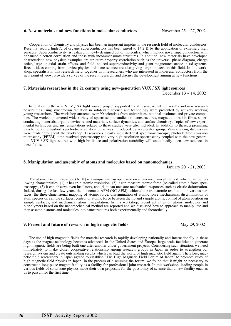### **6. New materials and new functions in molecular conductors** November 25 ~ 27, 2002

Cooperation of chemistry and physics has been an important impetus in the research field of molecular conductors. Recently, record high  $T_c$  of organic superconductors has been raised to 14.2 K by the application of extremely high pressure. Superconductivity is realized in newly designed donor molecules, which include novel superconductors with enhanced electron correlation and those with incommensurate structures. In addition, new materials have developed characteristic new physics; examples are structure-property correlation such as the universal phase diagram, charge order, large uniaxial strain effects, and field-induced superconductivity and giant magnetoresistance in  $\pi$ d-systems. Recent ideas coming from device physics and nano science are also giving large impacts on this field. In this workshop, specialists in this research field, together with researchers who are interested in molecular conductors from the new point of view, provide a survey of the recent research, and discuss the development aiming at new functions.

# **7. Materials researches in the 21 century using new-generation VUX / SX light sources**

December 13 ~ 14, 2002

In relation to the new VUV / SX light source project supported by all users, recent hot results and new research possibilities using synchrotron radiation in solid-state science and technology were presented by actively working young researchers. The workshop attracted over 90 scientists from universities, national institutes and private companies. The workshop covered wide variety of spectroscopic studies on nanostructures, magnetic ultrathin films, superconducting materials, organic-device related materials, surface dynamics, and surface chemistry. Topics of new experimental techniques and instrumentations related to these studies were also included. In addition to these, a promising idea to obtain ultrashort synchrotron-radiation pulse was introduced by accelerator group. Very exciting discussions were made throughout the workshop. Discussions clearly indicated that spectromicroscopy, photoelectron emission microscopy (PEEM), time-resolved spectroscopy and very high-resolution spectroscopy coupled with the new generation VUV / SX light source with high brilliance and polarization tunability will undoubtedly open new sciences in these fields.

### **8. Manipulation and assembly of atoms and molecules based on nanomechanics**

January  $20 \sim 21, 2003$ 

The atomic force microscope (AFM) is a unique microscope based on a nanomechanical method, which has the following characteristics; (1) it has true atomic resolution, (2) it can measure atomic force (so-called atomic force spectroscopy), (3) it can observe even insulators, and (4) it can measure mechanical responses such as elastic deformation. Indeed, during the last few years, the noncontact AFM (NC-AFM) achieved the true atomic resolution on various surfaces, the three-dimensional mapping of atomic force, discrimination of atomic force mechanisms, discrimination of atom species on sample surfaces, control of atomic force between the tip and sample atoms, control of atom position on sample surfaces, and mechanical atom manipulation. In this workshop, recent activities on atoms, molecules and biopolymers based on the nanomechanical method are reported and we discussed how to approach to manipulate and then assemble atoms and molecules into nanostructures both experimentally and theoretically.

# **9. Present and future of research in high magnetic fields** May 29, 2002

The use of high magnetic fields for material research is rapidly developing nationally and internationally in these days as the magnet technology becomes advanced. In the United States and Europe, large-scale facilities to generate high magnetic fields are being built one after another under government projects. Considering such situation, we need immediately to make closer cooperative relationship among research groups in Japan in order to strengthen our research system and create outstanding results which can lead the world of high magnetic field again. Therefore, magnetic field researchers in Japan agreed to establish "The High Magnetic Field Forum of Japan" to promote study of high magnetic field physics in Japan. In the process of discussing the forum, we found that it might be necessary to construct a long pulse magnet facility as a facility for professional joint research. In this workshop, leading people in various fields of solid state physics made their own proposals for the possibility of science that a new facility enables us to pursuit for the first time.